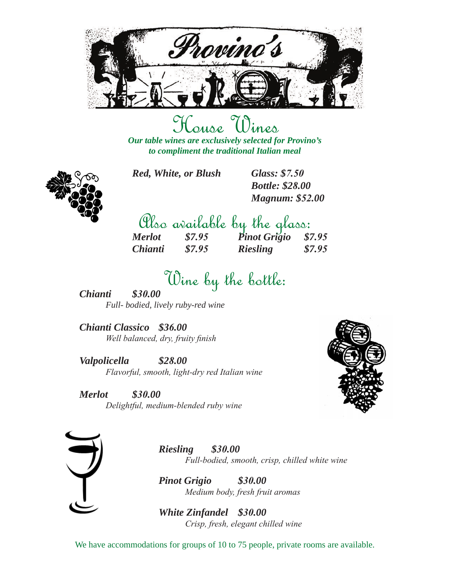

### House Wines *Our table wines are exclusively selected for Provino's*

*to compliment the traditional Italian meal*



*Red, White, or Blush Glass: \$7.50* 

*Bottle: \$28.00 Magnum: \$52.00*

|                       |        | Plso arailable by the glass:  |        |
|-----------------------|--------|-------------------------------|--------|
| <b>Merlot</b>         | \$7.95 | $P$ <i>inot Grigio</i> \$7.95 |        |
| <i><b>Chianti</b></i> | \$7.95 | <b>Riesling</b>               | \$7.95 |

## Wine by the bottle: *Chianti \$30.00*

*Full- bodied, lively ruby-red wine*

*Chianti Classico \$36.00 Well balanced, dry, fruity finish*

*Valpolicella \$28.00 Flavorful, smooth, light-dry red Italian wine*

*Merlot \$30.00 Delightful, medium-blended ruby wine*





*Riesling \$30.00 Full-bodied, smooth, crisp, chilled white wine*

*Pinot Grigio \$30.00 Medium body, fresh fruit aromas*

*White Zinfandel \$30.00 Crisp, fresh, elegant chilled wine*

We have accommodations for groups of 10 to 75 people, private rooms are available.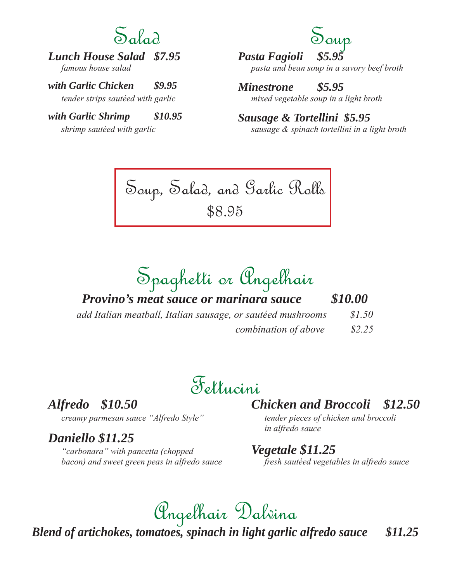## $S_a$

### *Lunch House Salad \$7.95*

*famous house salad* 

*with Garlic Chicken \$9.95*

*tender strips sautéed with garlic*

#### *with Garlic Shrimp \$10.95*

*shrimp sautéed with garlic*

## Soup

*Pasta Fagioli \$5.95 pasta and bean soup in a savory beef broth*

*Minestrone \$5.95 mixed vegetable soup in a light broth*

*Sausage & Tortellini \$5.95 sausage & spinach tortellini in a light broth*

Soup, Salad, and Garlic Rolls \$8.95

Spaghetti or Angelhair

*Provino's meat sauce or marinara sauce \$10.00*

*add Italian meatball, Italian sausage, or sautéed mushrooms \$1.50 combination of above \$2.25*

## Fettucini

*Alfredo \$10.50*

#### *creamy parmesan sauce "Alfredo Style"*

#### *Daniello \$11.25*

*"carbonara" with pancetta (chopped bacon) and sweet green peas in alfredo sauce*

#### *Chicken and Broccoli \$12.50*

*tender pieces of chicken and broccoli in alfredo sauce*

#### *Vegetale \$11.25*

*fresh sautéed vegetables in alfredo sauce*

## Angelhair Dalvina

*Blend of artichokes, tomatoes, spinach in light garlic alfredo sauce \$11.25*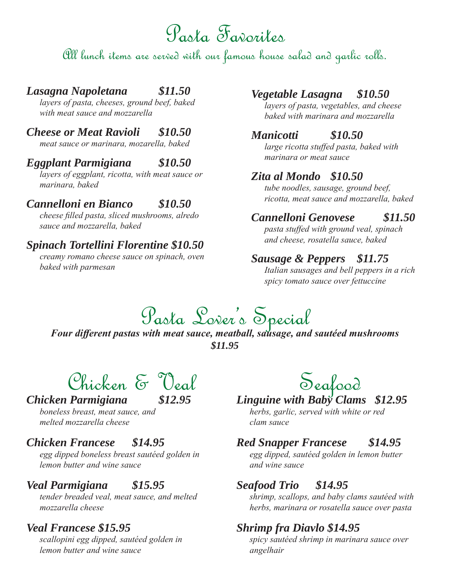## Pasta Favorites

All lunch items are served with our famous house salad and garlic rolls.

#### *Lasagna Napoletana \$11.50*

*layers of pasta, cheeses, ground beef, baked with meat sauce and mozzarella*

#### *Cheese or Meat Ravioli \$10.50*

*meat sauce or marinara, mozarella, baked* 

#### *Eggplant Parmigiana \$10.50*

*layers of eggplant, ricotta, with meat sauce or marinara, baked*

#### *Cannelloni en Bianco \$10.50*

*cheese filled pasta, sliced mushrooms, alredo sauce and mozzarella, baked*

#### *Spinach Tortellini Florentine \$10.50*

*creamy romano cheese sauce on spinach, oven baked with parmesan*

#### *Vegetable Lasagna \$10.50*

*layers of pasta, vegetables, and cheese baked with marinara and mozzarella*

#### *Manicotti \$10.50*

*large ricotta stuffed pasta, baked with marinara or meat sauce*

#### *Zita al Mondo \$10.50*

*tube noodles, sausage, ground beef, ricotta, meat sauce and mozzarella, baked*

#### *Cannelloni Genovese \$11.50*

*pasta stuffed with ground veal, spinach and cheese, rosatella sauce, baked*

#### *Sausage & Peppers \$11.75*

*Italian sausages and bell peppers in a rich spicy tomato sauce over fettuccine*

# Pasta Lover's Special *Four different pastas with meat sauce, meatball, sausage, and sautéed mushrooms*

*\$11.95*

Chicken & Veal

#### *Chicken Parmigiana \$12.95*

*boneless breast, meat sauce, and melted mozzarella cheese*

#### *Chicken Francese \$14.95*

*egg dipped boneless breast sautéed golden in lemon butter and wine sauce*

#### *Veal Parmigiana \$15.95*

*tender breaded veal, meat sauce, and melted mozzarella cheese*

#### *Veal Francese \$15.95*

*scallopini egg dipped, sautéed golden in lemon butter and wine sauce*

## Seafood *Linguine with Baby Clams \$12.95*

*herbs, garlic, served with white or red clam sauce*

#### *Red Snapper Francese \$14.95*

*egg dipped, sautéed golden in lemon butter and wine sauce*

#### *Seafood Trio \$14.95*

*shrimp, scallops, and baby clams sautéed with herbs, marinara or rosatella sauce over pasta*

#### *Shrimp fra Diavlo \$14.95*

*spicy sautéed shrimp in marinara sauce over angelhair*